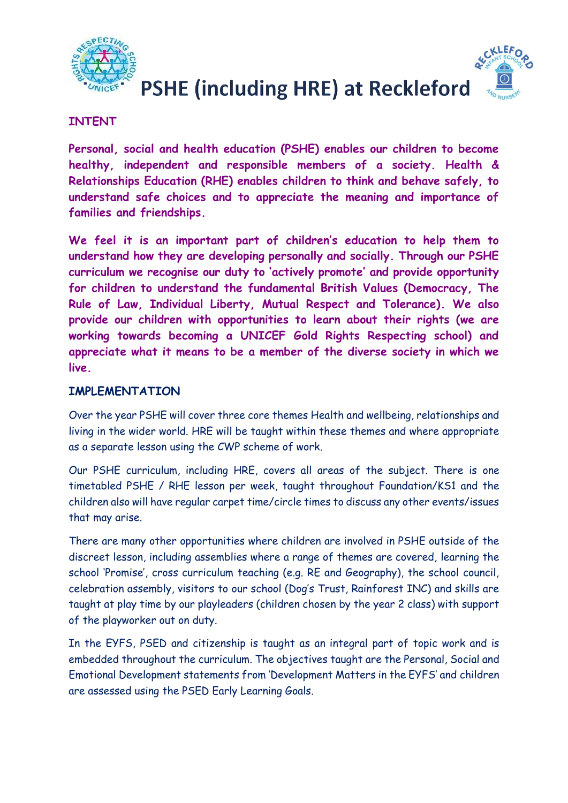



## **INTENT**

**Personal, social and health education (PSHE) enables our children to become healthy, independent and responsible members of a society. Health & Relationships Education (RHE) enables children to think and behave safely, to understand safe choices and to appreciate the meaning and importance of families and friendships.**

**We feel it is an important part of children's education to help them to understand how they are developing personally and socially. Through our PSHE curriculum we recognise our duty to 'actively promote' and provide opportunity for children to understand the fundamental British Values (Democracy, The Rule of Law, Individual Liberty, Mutual Respect and Tolerance). We also provide our children with opportunities to learn about their rights (we are working towards becoming a UNICEF Gold Rights Respecting school) and appreciate what it means to be a member of the diverse society in which we live.** 

## **IMPLEMENTATION**

Over the year PSHE will cover three core themes Health and wellbeing, relationships and living in the wider world. HRE will be taught within these themes and where appropriate as a separate lesson using the CWP scheme of work.

Our PSHE curriculum, including HRE, covers all areas of the subject. There is one timetabled PSHE / RHE lesson per week, taught throughout Foundation/KS1 and the children also will have regular carpet time/circle times to discuss any other events/issues that may arise.

There are many other opportunities where children are involved in PSHE outside of the discreet lesson, including assemblies where a range of themes are covered, learning the school 'Promise', cross curriculum teaching (e.g. RE and Geography), the school council, celebration assembly, visitors to our school (Dog's Trust, Rainforest INC) and skills are taught at play time by our playleaders (children chosen by the year 2 class) with support of the playworker out on duty.

In the EYFS, PSED and citizenship is taught as an integral part of topic work and is embedded throughout the curriculum. The objectives taught are the Personal, Social and Emotional Development statements from 'Development Matters in the EYFS' and children are assessed using the PSED Early Learning Goals.